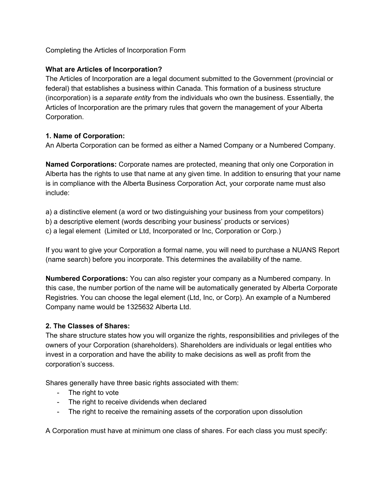# Completing the Articles of Incorporation Form

#### **What are Articles of Incorporation?**

The Articles of Incorporation are a legal document submitted to the Government (provincial or federal) that establishes a business within Canada. This formation of a business structure (incorporation) is a *separate entity* from the individuals who own the business. Essentially, the Articles of Incorporation are the primary rules that govern the management of your Alberta Corporation.

#### **1. Name of Corporation:**

An Alberta Corporation can be formed as either a Named Company or a Numbered Company.

**Named Corporations:** Corporate names are protected, meaning that only one Corporation in Alberta has the rights to use that name at any given time. In addition to ensuring that your name is in compliance with the Alberta Business Corporation Act, your corporate name must also include:

a) a distinctive element (a word or two distinguishing your business from your competitors)

b) a descriptive element (words describing your business' products or services)

c) a legal element (Limited or Ltd, Incorporated or Inc, Corporation or Corp.)

If you want to give your Corporation a formal name, you will need to purchase a NUANS Report (name search) before you incorporate. This determines the availability of the name.

**Numbered Corporations:** You can also register your company as a Numbered company. In this case, the number portion of the name will be automatically generated by Alberta Corporate Registries. You can choose the legal element (Ltd, Inc, or Corp). An example of a Numbered Company name would be 1325632 Alberta Ltd.

# **2. The Classes of Shares:**

The share structure states how you will organize the rights, responsibilities and privileges of the owners of your Corporation (shareholders). Shareholders are individuals or legal entities who invest in a corporation and have the ability to make decisions as well as profit from the corporation's success.

Shares generally have three basic rights associated with them:

- The right to vote
- The right to receive dividends when declared
- The right to receive the remaining assets of the corporation upon dissolution

A Corporation must have at minimum one class of shares. For each class you must specify: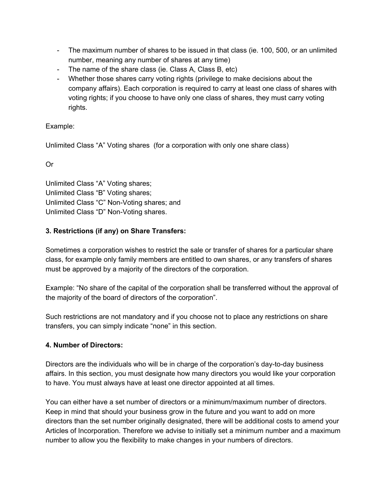- The maximum number of shares to be issued in that class (ie. 100, 500, or an unlimited number, meaning any number of shares at any time)
- The name of the share class (ie. Class A, Class B, etc)
- Whether those shares carry voting rights (privilege to make decisions about the company affairs). Each corporation is required to carry at least one class of shares with voting rights; if you choose to have only one class of shares, they must carry voting rights.

# Example:

Unlimited Class "A" Voting shares (for a corporation with only one share class)

Or

Unlimited Class "A" Voting shares; Unlimited Class "B" Voting shares; Unlimited Class "C" Non-Voting shares; and Unlimited Class "D" Non-Voting shares.

# **3. Restrictions (if any) on Share Transfers:**

Sometimes a corporation wishes to restrict the sale or transfer of shares for a particular share class, for example only family members are entitled to own shares, or any transfers of shares must be approved by a majority of the directors of the corporation.

Example: "No share of the capital of the corporation shall be transferred without the approval of the majority of the board of directors of the corporation".

Such restrictions are not mandatory and if you choose not to place any restrictions on share transfers, you can simply indicate "none" in this section.

# **4. Number of Directors:**

Directors are the individuals who will be in charge of the corporation's day-to-day business affairs. In this section, you must designate how many directors you would like your corporation to have. You must always have at least one director appointed at all times.

You can either have a set number of directors or a minimum/maximum number of directors. Keep in mind that should your business grow in the future and you want to add on more directors than the set number originally designated, there will be additional costs to amend your Articles of Incorporation. Therefore we advise to initially set a minimum number and a maximum number to allow you the flexibility to make changes in your numbers of directors.